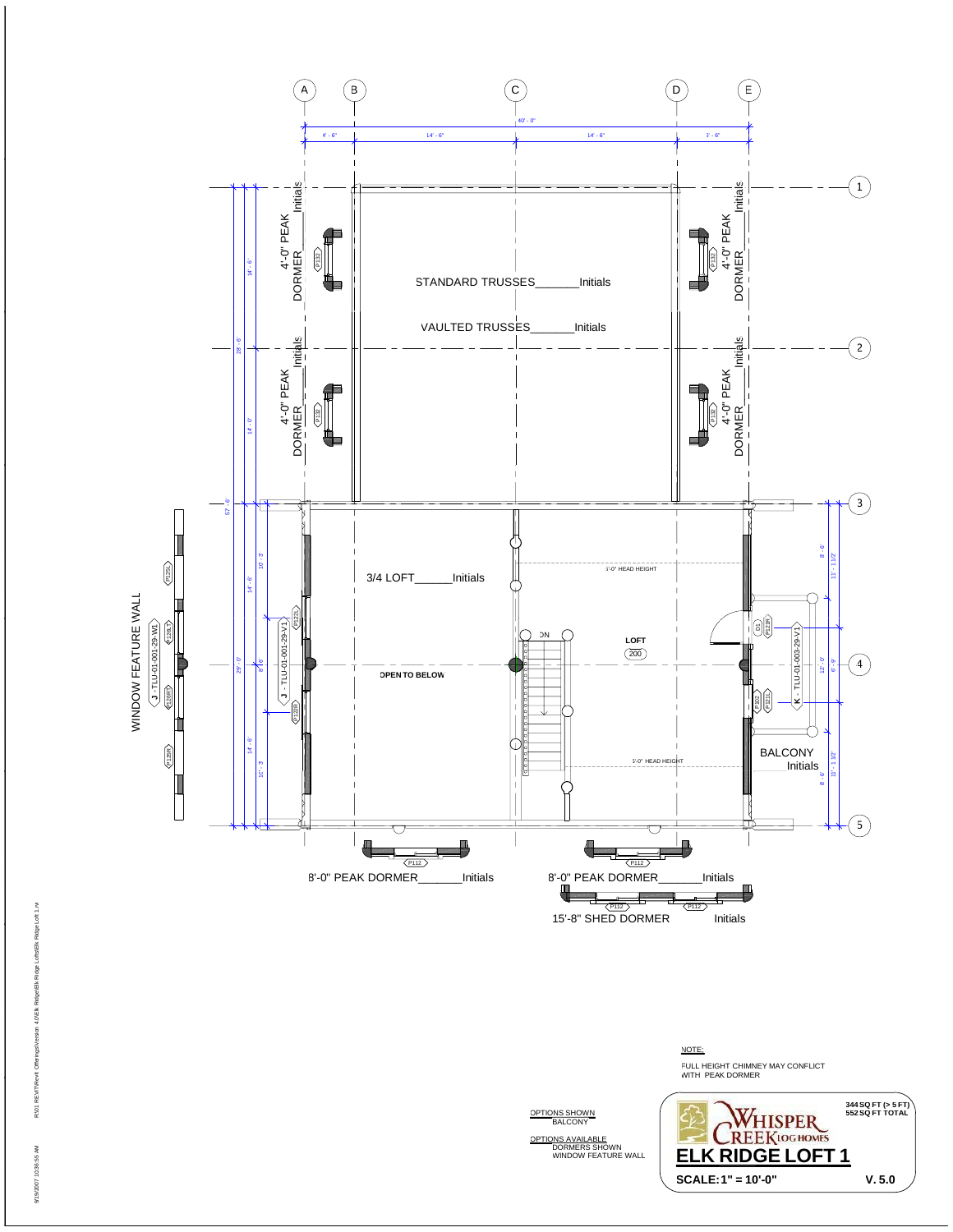

NOTE: FULL HEIGHT CHIMNEY MAY CONFLICT<br>WITH PEAK DORMER **344 SQ FT (> 5 FT) WHISPER** OPTIONS SHOWN OPTIONS AVAILABLE DORMERS SHOWN WINDOW FEATURE WALL **SCALE:1" = 10'-0" V. 5.0 ELK RIDGE LOFT 1**

9/19/2007 10:36:55 AM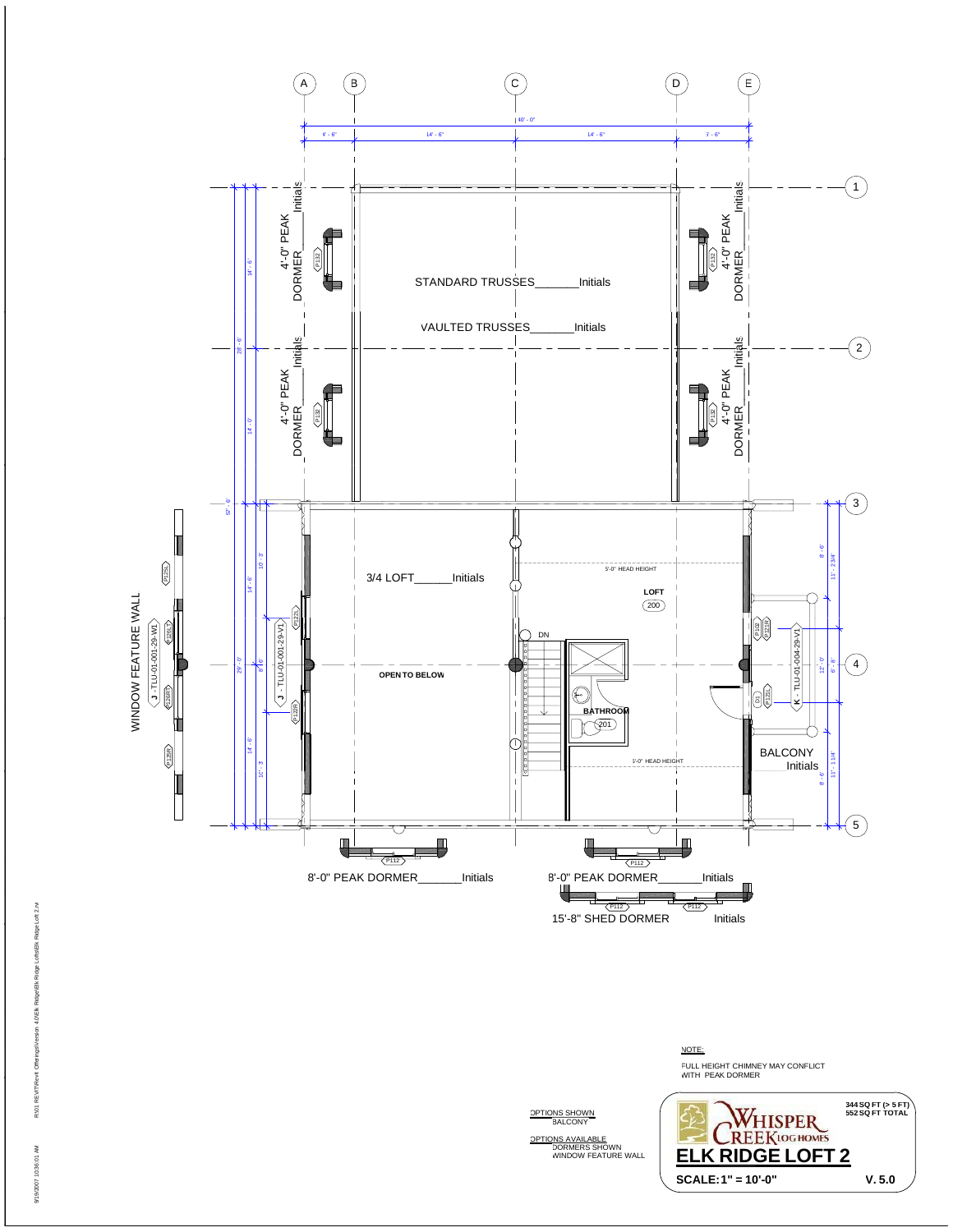

NOTE: FULL HEIGHT CHIMNEY MAY CONFLICT<br>WITH PEAK DORMER **344 SQ FT (> 5 FT) WHISPER**<br>REEKLOG HOMES **ELK RIDGE LOFT 2**

**SCALE:1" = 10'-0" V. 5.0**

OPTIONS SHOWN

OPTIONS AVAILABLE DORMERS SHOWN WINDOW FEATURE WALL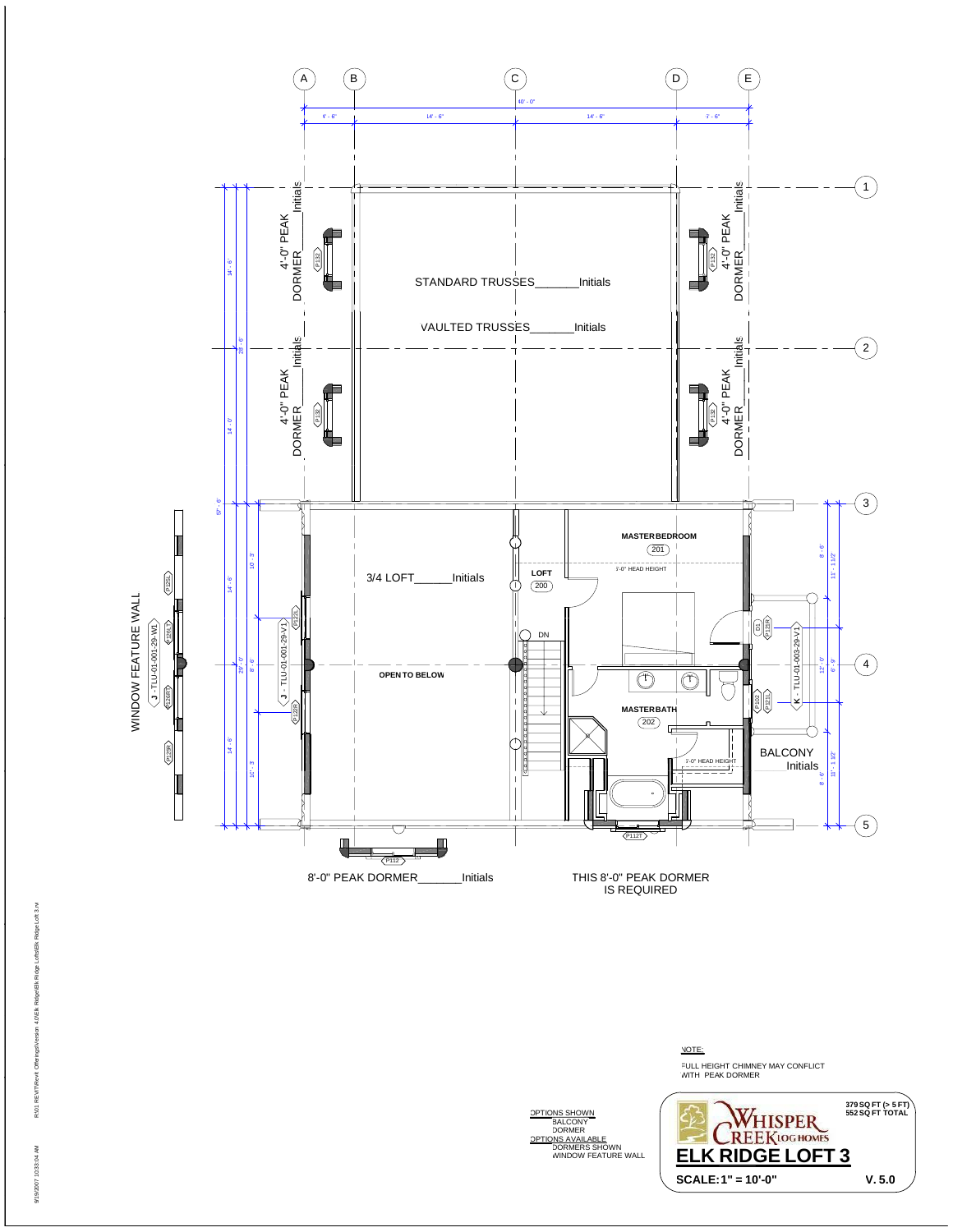

NOTE: FULL HEIGHT CHIMNEY MAY CONFLICT<br>WITH PEAK DORMER WITH PEAK DORMER<br>WITH PEAK DORMER THE ANNUAL RIGHT CHINESE RIGHT CHINESE RIGHT CHINESE RIGHT CHINNEY<br>Right PEAK DORMER<br>Right PEAK DORMER **379 SQ FT (> 5 FT) OPTIONS SHOWN BALCONY**<br>
DORMERS SHOWN<br>
DORMERS SHOWN<br>
DORMERS SHOWN<br>
WINDOW FEATURE WALL **FLK RIDGE LOFT 3 ELK RIDGE LOFT 3** 

**SCALE:1" = 10'-0" V. 5.0**